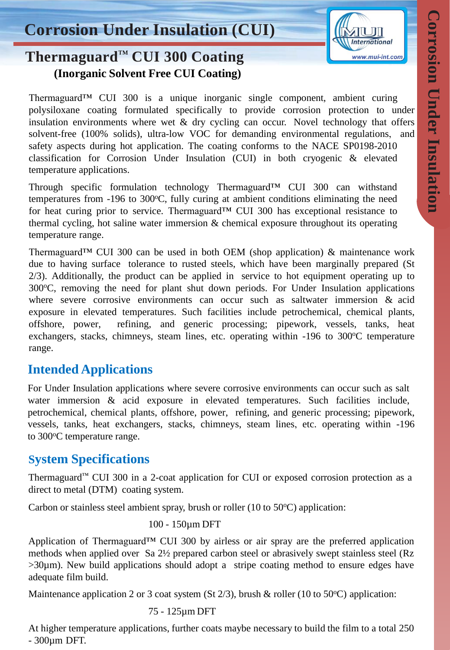

# **Thermaguard**™ **CUI 300 Coating (Inorganic Solvent Free CUI Coating)**

Thermaguard™ CUI 300 is a unique inorganic single component, ambient curing polysiloxane coating formulated specifically to provide corrosion protection to under insulation environments where wet  $\&$  dry cycling can occur. Novel technology that offers solvent-free (100% solids), ultra-low VOC for demanding environmental regulations, and safety aspects during hot application. The coating conforms to the NACE SP0198-2010 classification for Corrosion Under Insulation (CUI) in both cryogenic & elevated temperature applications.

Through specific formulation technology Thermaguard<sup>TM</sup> CUI 300 can withstand temperatures from  $-196$  to  $300^{\circ}$ C, fully curing at ambient conditions eliminating the need for heat curing prior to service. Thermaguard<sup>TM</sup> CUI 300 has exceptional resistance to thermal cycling, hot saline water immersion & chemical exposure throughout its operating temperature range.

Thermaguard™ CUI 300 can be used in both OEM (shop application) & maintenance work due to having surface tolerance to rusted steels, which have been marginally prepared (St 2/3). Additionally, the product can be applied in service to hot equipment operating up to  $300^{\circ}$ C, removing the need for plant shut down periods. For Under Insulation applications where severe corrosive environments can occur such as saltwater immersion & acid exposure in elevated temperatures. Such facilities include petrochemical, chemical plants, offshore, power, refining, and generic processing; pipework, vessels, tanks, heat exchangers, stacks, chimneys, steam lines, etc. operating within -196 to 300°C temperature range.

### **Intended Applications**

For Under Insulation applications where severe corrosive environments can occur such as salt water immersion & acid exposure in elevated temperatures. Such facilities include, petrochemical, chemical plants, offshore, power, refining, and generic processing; pipework, vessels, tanks, heat exchangers, stacks, chimneys, steam lines, etc. operating within -196 to 300°C temperature range.

## **System Specifications**

Thermaguard™ CUI 300 in a 2-coat application for CUI or exposed corrosion protection as a direct to metal (DTM) coating system.

Carbon or stainless steel ambient spray, brush or roller (10 to  $50^{\circ}$ C) application:

100 - 150µm DFT

Application of Thermaguard<sup>™</sup> CUI 300 by airless or air spray are the preferred application methods when applied over Sa 2½ prepared carbon steel or abrasively swept stainless steel (Rz >30µm). New build applications should adopt a stripe coating method to ensure edges have adequate film build.

Maintenance application 2 or 3 coat system (St  $2/3$ ), brush & roller (10 to 50 °C) application:

### 75 - 125µm DFT

At higher temperature applications, further coats maybe necessary to build the film to a total 250 - 300µm DFT.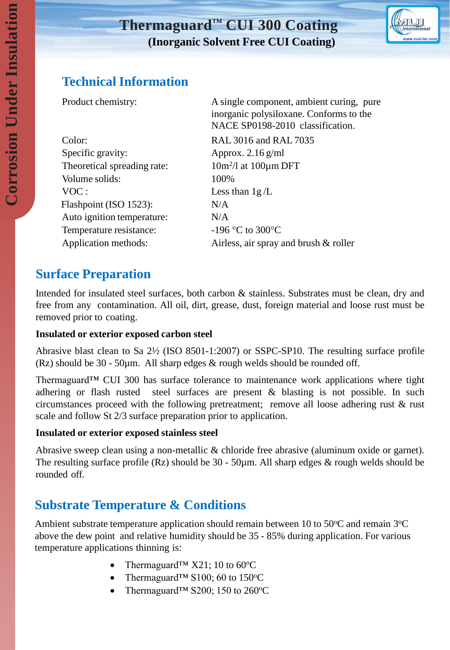# **Thermaguard**™ **CUI 300 Coating (Inorganic Solvent Free CUI Coating)**



## **Technical Information**

Color: RAL 3016 and RAL 7035 Specific gravity: Approx. 2.16 g/ml Theoretical spreading rate: Volume solids: 100% VOC : Less than  $1g/L$ Flashpoint (ISO 1523): N/A Auto ignition temperature: N/A Temperature resistance:  $-196 \degree C$  to 300 $\degree C$ 

Product chemistry: A single component, ambient curing, pure inorganic polysiloxane. Conforms to the NACE SP0198-2010 classification.

 $10m^2/l$  at  $100\mu m$  DFT Application methods: Airless, air spray and brush & roller

### **Surface Preparation**

Intended for insulated steel surfaces, both carbon & stainless. Substrates must be clean, dry and free from any contamination. All oil, dirt, grease, dust, foreign material and loose rust must be removed prior to coating.

### **Insulated or exterior exposed carbon steel**

Abrasive blast clean to Sa 2½ (ISO 8501-1:2007) or SSPC-SP10. The resulting surface profile (Rz) should be  $30 - 50\mu m$ . All sharp edges  $&$  rough welds should be rounded off.

Thermaguard™ CUI 300 has surface tolerance to maintenance work applications where tight adhering or flash rusted steel surfaces are present & blasting is not possible. In such circumstances proceed with the following pretreatment; remove all loose adhering rust & rust scale and follow St 2/3 surface preparation prior to application.

### **Insulated or exterior exposed stainless steel**

Abrasive sweep clean using a non-metallic & chloride free abrasive (aluminum oxide or garnet). The resulting surface profile (Rz) should be 30 - 50µm. All sharp edges & rough welds should be rounded off.

# **Substrate Temperature & Conditions**

Ambient substrate temperature application should remain between 10 to 50 $\degree$ C and remain 3 $\degree$ C above the dew point and relative humidity should be 35 - 85% during application. For various temperature applications thinning is:

- Thermaguard<sup>TM</sup>  $X21$ ; 10 to 60<sup>o</sup>C
- Thermaguard<sup>TM</sup> S100; 60 to 150 $\degree$ C
- Thermaguard<sup>™</sup> S200; 150 to 260 °C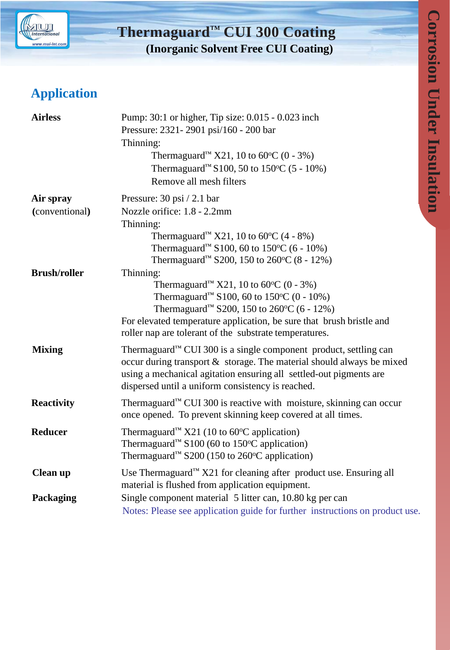

# **Thermaguard**™ **CUI 300 Coating (Inorganic Solvent Free CUI Coating)**

# **Application**

| <b>Airless</b>      | Pump: 30:1 or higher, Tip size: 0.015 - 0.023 inch<br>Pressure: 2321-2901 psi/160 - 200 bar<br>Thinning:<br>Thermaguard <sup>™</sup> X21, 10 to 60 °C (0 - 3%)<br>Thermaguard <sup>™</sup> S100, 50 to 150 °C (5 - 10%)<br>Remove all mesh filters                                                                   |
|---------------------|----------------------------------------------------------------------------------------------------------------------------------------------------------------------------------------------------------------------------------------------------------------------------------------------------------------------|
| Air spray           | Pressure: 30 psi / 2.1 bar                                                                                                                                                                                                                                                                                           |
| (conventional)      | Nozzle orifice: 1.8 - 2.2mm                                                                                                                                                                                                                                                                                          |
|                     | Thinning:<br>Thermaguard <sup>™</sup> X21, 10 to 60 °C (4 - 8%)<br>Thermaguard <sup>™</sup> S100, 60 to 150 °C (6 - 10%)<br>Thermaguard <sup>™</sup> S200, 150 to 260 °C (8 - 12%)                                                                                                                                   |
| <b>Brush/roller</b> | Thinning:<br>Thermaguard <sup>™</sup> X21, 10 to 60 °C (0 - 3%)<br>Thermaguard <sup>™</sup> S100, 60 to 150 °C (0 - 10%)<br>Thermaguard <sup>™</sup> S200, 150 to 260 °C (6 - 12%)<br>For elevated temperature application, be sure that brush bristle and<br>roller nap are tolerant of the substrate temperatures. |
| <b>Mixing</b>       | Thermaguard <sup>™</sup> CUI 300 is a single component product, settling can<br>occur during transport $\&$ storage. The material should always be mixed<br>using a mechanical agitation ensuring all settled-out pigments are<br>dispersed until a uniform consistency is reached.                                  |
| <b>Reactivity</b>   | Thermaguard <sup>™</sup> CUI 300 is reactive with moisture, skinning can occur<br>once opened. To prevent skinning keep covered at all times.                                                                                                                                                                        |
| <b>Reducer</b>      | Thermaguard <sup>™</sup> X21 (10 to 60 $\rm^{\circ}$ C application)<br>Thermaguard <sup>™</sup> S100 (60 to 150 °C application)<br>Thermaguard <sup>™</sup> S200 (150 to 260°C application)                                                                                                                          |
| Clean up            | Use Thermaguard <sup>™</sup> X21 for cleaning after product use. Ensuring all<br>material is flushed from application equipment.                                                                                                                                                                                     |
| Packaging           | Single component material 5 litter can, 10.80 kg per can<br>Notes: Please see application guide for further instructions on product use.                                                                                                                                                                             |